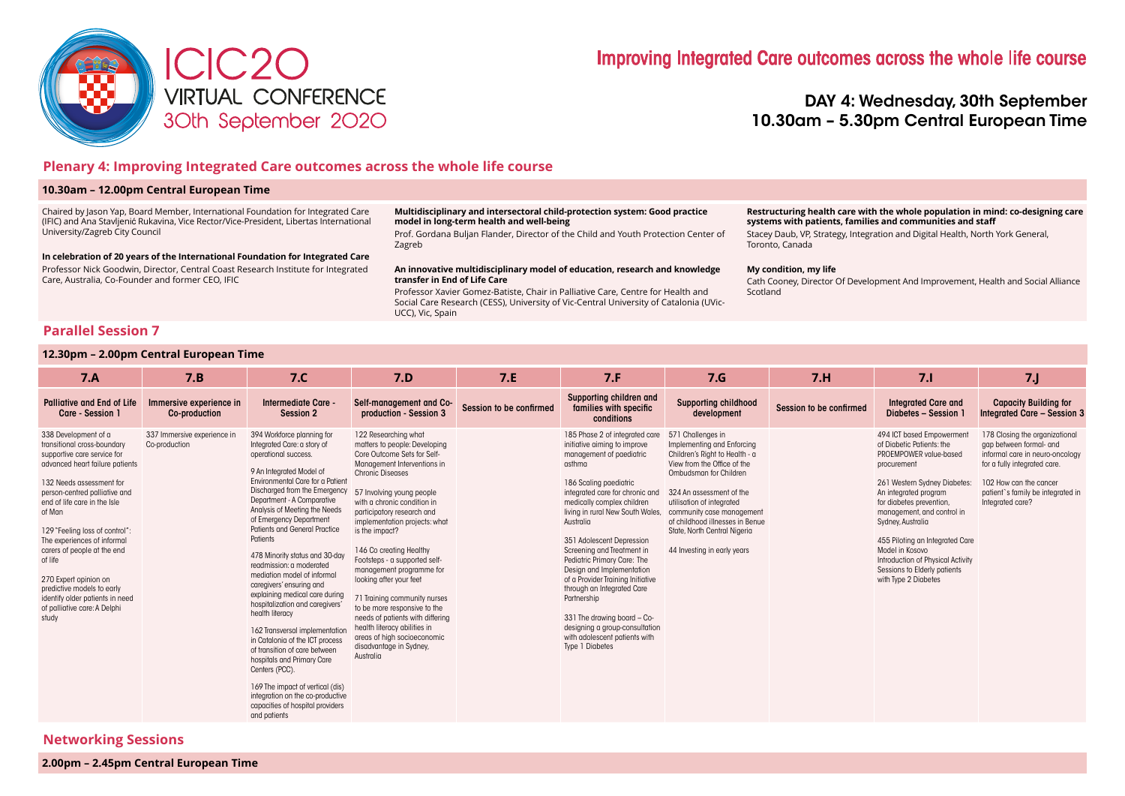

# DAY 4: Wednesday, 30th September 10.30am – 5.30pm Central European Time

# **Plenary 4: Improving Integrated Care outcomes across the whole life course**

### **10.30am – 12.00pm Central European Time**

Chaired by Jason Yap, Board Member, International Foundation for Integrated Care (IFIC) and Ana Stavljenić Rukavina, Vice Rector/Vice-President, Libertas International University/Zagreb City Council

**In celebration of 20 years of the International Foundation for Integrated Care** Professor Nick Goodwin, Director, Central Coast Research Institute for Integrated

#### **Multidisciplinary and intersectoral child-protection system: Good practice model in long-term health and well-being**

Prof. Gordana Buljan Flander, Director of the Child and Youth Protection Center of Zagreb

#### **An innovative multidisciplinary model of education, research and knowledge transfer in End of Life Care**

Professor Xavier Gomez-Batiste, Chair in Palliative Care, Centre for Health and Social Care Research (CESS), University of Vic-Central University of Catalonia (UVic-UCC), Vic, Spain

#### **Restructuring health care with the whole population in mind: co-designing care systems with patients, families and communities and staff**

Stacey Daub, VP, Strategy, Integration and Digital Health, North York General, Toronto, Canada

#### **My condition, my life**

Cath Cooney, Director Of Development And Improvement, Health and Social Alliance Scotland

# **Parallel Session 7**

### **12.30pm – 2.00pm Central European Time**

Care, Australia, Co-Founder and former CEO, IFIC

| 7.A                                                                                                                                                                                                                                                                                                                                                                                                                                                                        | 7.B                                          | 7. <sub>C</sub>                                                                                                                                                                                                                                                                                                                                                                                                                                                                                                                                                                                                                                                                                                                                                                                                              | 7.D                                                                                                                                                                                                                                                                                                                                                                                                                                                                                                                                                                                                                | 7.E                     | 7.F                                                                                                                                                                                                                                                                                                                                                                                                                                                                                                                                                                            | 7.6                                                                                                                                                                                                                                                                                                                                | 7.H                     | 7.1                                                                                                                                                                                                                                                                                                                                                                                        | 7J                                                                                                                                                                                                              |
|----------------------------------------------------------------------------------------------------------------------------------------------------------------------------------------------------------------------------------------------------------------------------------------------------------------------------------------------------------------------------------------------------------------------------------------------------------------------------|----------------------------------------------|------------------------------------------------------------------------------------------------------------------------------------------------------------------------------------------------------------------------------------------------------------------------------------------------------------------------------------------------------------------------------------------------------------------------------------------------------------------------------------------------------------------------------------------------------------------------------------------------------------------------------------------------------------------------------------------------------------------------------------------------------------------------------------------------------------------------------|--------------------------------------------------------------------------------------------------------------------------------------------------------------------------------------------------------------------------------------------------------------------------------------------------------------------------------------------------------------------------------------------------------------------------------------------------------------------------------------------------------------------------------------------------------------------------------------------------------------------|-------------------------|--------------------------------------------------------------------------------------------------------------------------------------------------------------------------------------------------------------------------------------------------------------------------------------------------------------------------------------------------------------------------------------------------------------------------------------------------------------------------------------------------------------------------------------------------------------------------------|------------------------------------------------------------------------------------------------------------------------------------------------------------------------------------------------------------------------------------------------------------------------------------------------------------------------------------|-------------------------|--------------------------------------------------------------------------------------------------------------------------------------------------------------------------------------------------------------------------------------------------------------------------------------------------------------------------------------------------------------------------------------------|-----------------------------------------------------------------------------------------------------------------------------------------------------------------------------------------------------------------|
| <b>Palliative and End of Life</b><br>Care - Session 1                                                                                                                                                                                                                                                                                                                                                                                                                      | Immersive experience in<br>Co-production     | Intermediate Care -<br><b>Session 2</b>                                                                                                                                                                                                                                                                                                                                                                                                                                                                                                                                                                                                                                                                                                                                                                                      | Self-management and Co-<br>production - Session 3                                                                                                                                                                                                                                                                                                                                                                                                                                                                                                                                                                  | Session to be confirmed | Supporting children and<br>families with specific<br>conditions                                                                                                                                                                                                                                                                                                                                                                                                                                                                                                                | <b>Supporting childhood</b><br>development                                                                                                                                                                                                                                                                                         | Session to be confirmed | <b>Integrated Care and</b><br>Diabetes - Session                                                                                                                                                                                                                                                                                                                                           | <b>Capacity Building for</b><br><b>Integrated Care - Session 3</b>                                                                                                                                              |
| 338 Development of a<br>transitional cross-boundary<br>supportive care service for<br>advanced heart failure patients<br>132 Needs assessment for<br>person-centred palliative and<br>end of life care in the Isle<br>of Man<br>129 "Feeling loss of control":<br>The experiences of informal<br>carers of people at the end<br>of life<br>270 Expert opinion on<br>predictive models to early<br>identify older patients in need<br>of palliative care: A Delphi<br>study | 337 Immersive experience in<br>Co-production | 394 Workforce planning for<br>Integrated Care: a story of<br>operational success.<br>9 An Integrated Model of<br>Environmental Care for a Patient<br>Discharged from the Emergency<br>Department - A Comparative<br>Analysis of Meeting the Needs<br>of Emergency Department<br>Patients and General Practice<br>Patients<br>478 Minority status and 30-day<br>readmission: a moderated<br>mediation model of informal<br>caregivers' ensuring and<br>explaining medical care during<br>hospitalization and caregivers'<br>health literacy<br>162 Transversal implementation<br>in Catalonia of the ICT process<br>of transition of care between<br>hospitals and Primary Care<br>Centers (PCC).<br>169 The impact of vertical (dis)<br>integration on the co-productive<br>capacities of hospital providers<br>and patients | 122 Researching what<br>matters to people: Developing<br>Core Outcome Sets for Self-<br>Management Interventions in<br>Chronic Diseases<br>57 Involving young people<br>with a chronic condition in<br>participatory research and<br>implementation projects: what<br>is the impact?<br>146 Co creating Healthy<br>Footsteps - a supported self-<br>management programme for<br>looking after your feet<br>71 Training community nurses<br>to be more responsive to the<br>needs of patients with differing<br>health literacy abilities in<br>areas of high socioeconomic<br>disadvantage in Sydney,<br>Australia |                         | 185 Phase 2 of integrated care<br>initiative aiming to improve<br>management of paediatric<br>asthma<br>186 Scaling paediatric<br>integrated care for chronic and<br>medically complex children<br>living in rural New South Wales,<br>Australia<br>351 Adolescent Depression<br>Screening and Treatment in<br>Pediatric Primary Care: The<br>Design and Implementation<br>of a Provider Training Initiative<br>through an Integrated Care<br>Partnership<br>331 The drawing board - Co-<br>designing a group-consultation<br>with adolescent patients with<br>Type 1 Diabetes | 571 Challenges in<br>Implementing and Enforcing<br>Children's Right to Health - a<br>View from the Office of the<br>Ombudsman for Children<br>324 An assessment of the<br>utilisation of integrated<br>community case management<br>of childhood illnesses in Benue<br>State, North Central Nigeria<br>44 Investing in early years |                         | 494 ICT based Empowerment<br>of Diabetic Patients: the<br>PROEMPOWER value-based<br>procurement<br>261 Western Sydney Diabetes:<br>An integrated program<br>for diabetes prevention,<br>management, and control in<br>Sydney, Australia<br>455 Piloting an Integrated Care<br>Model in Kosovo<br>Introduction of Physical Activity<br>Sessions to Elderly patients<br>with Type 2 Diabetes | 178 Closing the organizational<br>gap between formal- and<br>informal care in neuro-oncology<br>for a fully integrated care.<br>102 How can the cancer<br>patient's family be integrated in<br>Integrated care? |

# **Networking Sessions**

**2.00pm – 2.45pm Central European Time**